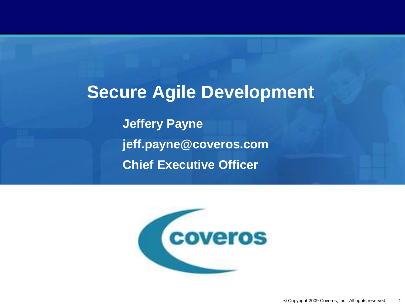**Secure Agile Development Jeffery Payne jeff.payne@coveros.com Chief Executive Officer**

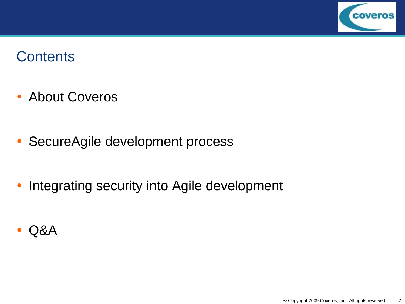

### **Contents**

- About Coveros
- SecureAgile development process
- Integrating security into Agile development
- Q&A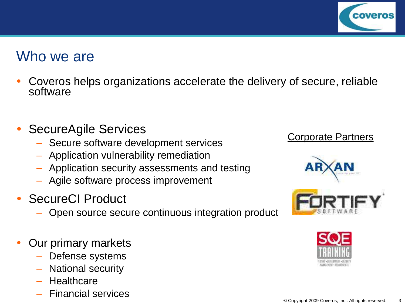

#### Who we are

- Coveros helps organizations accelerate the delivery of secure, reliable software
- SecureAgile Services
	- Secure software development services
	- Application vulnerability remediation
	- Application security assessments and testing
	- Agile software process improvement
- SecureCI Product
	- Open source secure continuous integration product
- Our primary markets
	- Defense systems
	- National security
	- Healthcare
	- Financial services

#### Corporate Partners



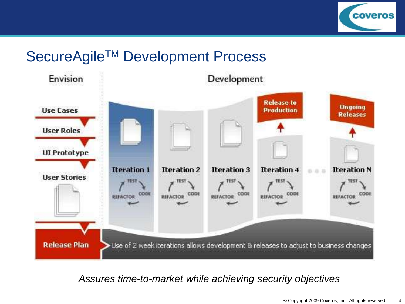

### SecureAgile<sup>™</sup> Development Process



*Assures time-to-market while achieving security objectives*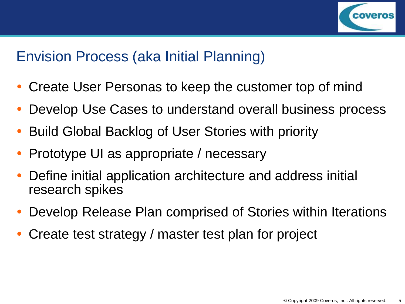

# Envision Process (aka Initial Planning)

- Create User Personas to keep the customer top of mind
- Develop Use Cases to understand overall business process
- Build Global Backlog of User Stories with priority
- Prototype UI as appropriate / necessary
- Define initial application architecture and address initial research spikes
- Develop Release Plan comprised of Stories within Iterations
- Create test strategy / master test plan for project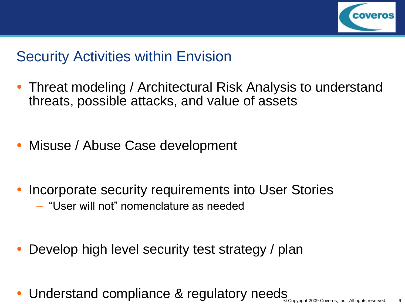

# Security Activities within Envision

- Threat modeling / Architectural Risk Analysis to understand threats, possible attacks, and value of assets
- Misuse / Abuse Case development
- Incorporate security requirements into User Stories – "User will not" nomenclature as needed
- Develop high level security test strategy / plan
- Understand compliance & regulatory needs Copyright 2009 Coveros, Inc.. All rights reserved.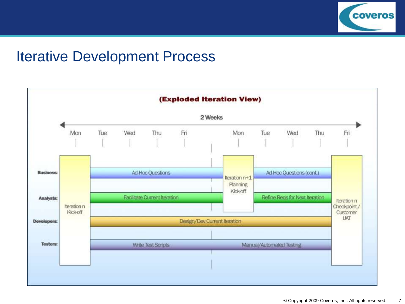

#### Iterative Development Process

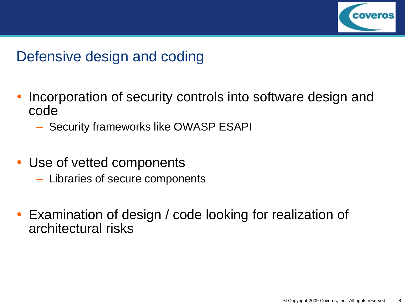

# Defensive design and coding

- Incorporation of security controls into software design and code
	- Security frameworks like OWASP ESAPI
- Use of vetted components
	- Libraries of secure components
- Examination of design / code looking for realization of architectural risks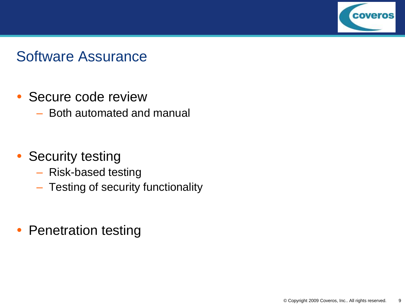

#### Software Assurance

- Secure code review
	- Both automated and manual
- Security testing
	- Risk-based testing
	- Testing of security functionality
- Penetration testing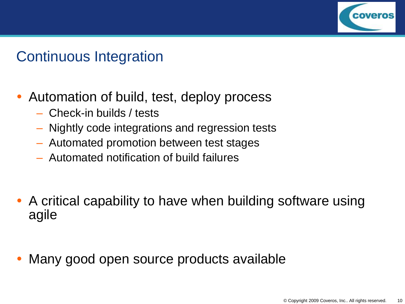

# Continuous Integration

- Automation of build, test, deploy process
	- Check-in builds / tests
	- Nightly code integrations and regression tests
	- Automated promotion between test stages
	- Automated notification of build failures
- A critical capability to have when building software using agile
- Many good open source products available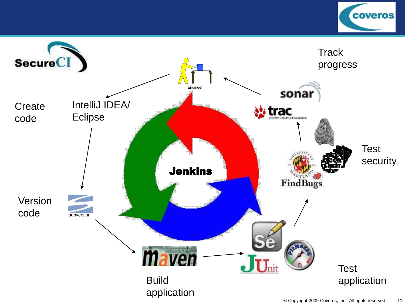